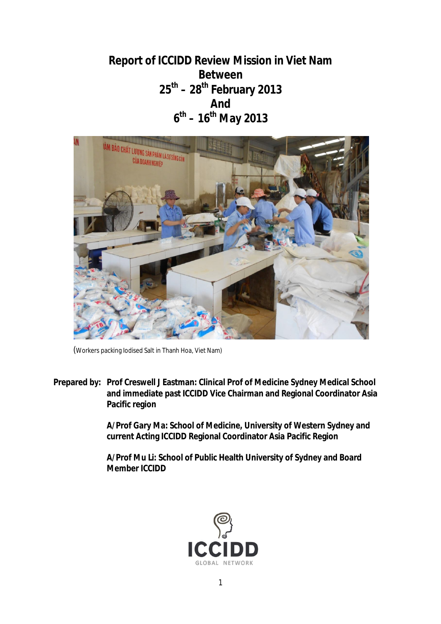# **Report of ICCIDD Review Mission in Viet Nam Between 25th – 28th February 2013 And 6 th – 16th May 2013**



(Workers packing Iodised Salt in Thanh Hoa, Viet Nam)

**Prepared by: Prof Creswell J Eastman: Clinical Prof of Medicine Sydney Medical School and immediate past ICCIDD Vice Chairman and Regional Coordinator Asia Pacific region**

> **A/Prof Gary Ma: School of Medicine, University of Western Sydney and current Acting ICCIDD Regional Coordinator Asia Pacific Region**

**A/Prof Mu Li: School of Public Health University of Sydney and Board Member ICCIDD**

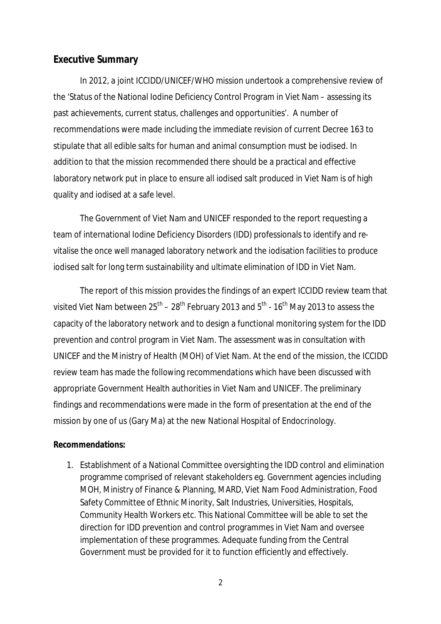### **Executive Summary**

In 2012, a joint ICCIDD/UNICEF/WHO mission undertook a comprehensive review of the 'Status of the National Iodine Deficiency Control Program in Viet Nam – assessing its past achievements, current status, challenges and opportunities'. A number of recommendations were made including the immediate revision of current Decree 163 to stipulate that all edible salts for human and animal consumption must be iodised. In addition to that the mission recommended there should be a practical and effective laboratory network put in place to ensure all iodised salt produced in Viet Nam is of high quality and iodised at a safe level.

The Government of Viet Nam and UNICEF responded to the report requesting a team of international Iodine Deficiency Disorders (IDD) professionals to identify and revitalise the once well managed laboratory network and the iodisation facilities to produce iodised salt for long term sustainability and ultimate elimination of IDD in Viet Nam.

The report of this mission provides the findings of an expert ICCIDD review team that visited Viet Nam between 25 $^{\sf th}$  – 28 $^{\sf th}$  February 2013 and 5 $^{\sf th}$  - 16 $^{\sf th}$  May 2013 to assess the capacity of the laboratory network and to design a functional monitoring system for the IDD prevention and control program in Viet Nam. The assessment was in consultation with UNICEF and the Ministry of Health (MOH) of Viet Nam. At the end of the mission, the ICCIDD review team has made the following recommendations which have been discussed with appropriate Government Health authorities in Viet Nam and UNICEF. The preliminary findings and recommendations were made in the form of presentation at the end of the mission by one of us (Gary Ma) at the new National Hospital of Endocrinology.

#### **Recommendations:**

1. Establishment of a National Committee oversighting the IDD control and elimination programme comprised of relevant stakeholders eg. Government agencies including MOH, Ministry of Finance & Planning, MARD, Viet Nam Food Administration, Food Safety Committee of Ethnic Minority, Salt Industries, Universities, Hospitals, Community Health Workers etc. This National Committee will be able to set the direction for IDD prevention and control programmes in Viet Nam and oversee implementation of these programmes. Adequate funding from the Central Government must be provided for it to function efficiently and effectively.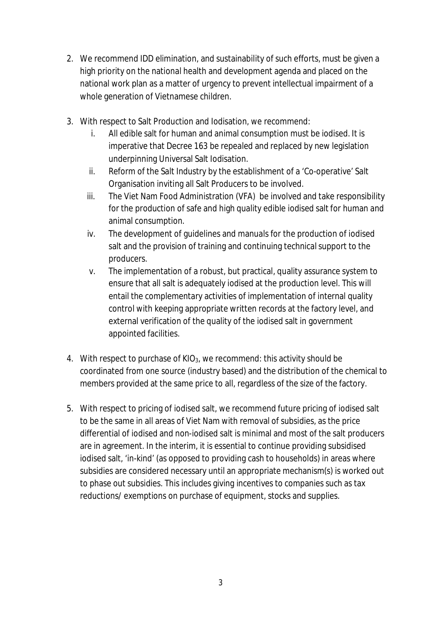- 2. We recommend IDD elimination, and sustainability of such efforts, must be given a high priority on the national health and development agenda and placed on the national work plan as a matter of urgency to prevent intellectual impairment of a whole generation of Vietnamese children.
- 3. With respect to Salt Production and Iodisation, we recommend:
	- i. All edible salt for human and animal consumption must be iodised. It is imperative that Decree 163 be repealed and replaced by new legislation underpinning Universal Salt Iodisation.
	- ii. Reform of the Salt Industry by the establishment of a 'Co-operative' Salt Organisation inviting all Salt Producers to be involved.
	- iii. The Viet Nam Food Administration (VFA) be involved and take responsibility for the production of safe and high quality edible iodised salt for human and animal consumption.
	- iv. The development of guidelines and manuals for the production of iodised salt and the provision of training and continuing technical support to the producers.
	- v. The implementation of a robust, but practical, quality assurance system to ensure that all salt is adequately iodised at the production level. This will entail the complementary activities of implementation of internal quality control with keeping appropriate written records at the factory level, and external verification of the quality of the iodised salt in government appointed facilities.
- 4. With respect to purchase of  $KIO<sub>3</sub>$ , we recommend: this activity should be coordinated from one source (industry based) and the distribution of the chemical to members provided at the same price to all, regardless of the size of the factory.
- 5. With respect to pricing of iodised salt, we recommend future pricing of iodised salt to be the same in all areas of Viet Nam with removal of subsidies, as the price differential of iodised and non-iodised salt is minimal and most of the salt producers are in agreement. In the interim, it is essential to continue providing subsidised iodised salt, 'in-kind' (as opposed to providing cash to households) in areas where subsidies are considered necessary until an appropriate mechanism(s) is worked out to phase out subsidies. This includes giving incentives to companies such as tax reductions/ exemptions on purchase of equipment, stocks and supplies.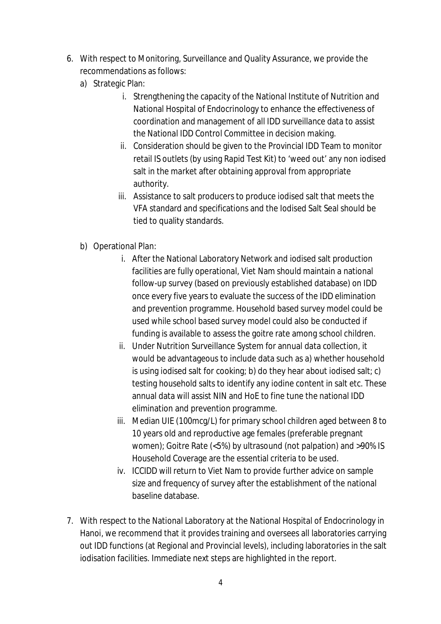- 6. With respect to Monitoring, Surveillance and Quality Assurance, we provide the recommendations as follows:
	- a) Strategic Plan:
		- i. Strengthening the capacity of the National Institute of Nutrition and National Hospital of Endocrinology to enhance the effectiveness of coordination and management of all IDD surveillance data to assist the National IDD Control Committee in decision making.
		- ii. Consideration should be given to the Provincial IDD Team to monitor retail IS outlets (by using Rapid Test Kit) to 'weed out' any non iodised salt in the market after obtaining approval from appropriate authority.
		- iii. Assistance to salt producers to produce iodised salt that meets the VFA standard and specifications and the Iodised Salt Seal should be tied to quality standards.
	- b) Operational Plan:
		- i. After the National Laboratory Network and iodised salt production facilities are fully operational, Viet Nam should maintain a national follow-up survey (based on previously established database) on IDD once every five years to evaluate the success of the IDD elimination and prevention programme. Household based survey model could be used while school based survey model could also be conducted if funding is available to assess the goitre rate among school children.
		- ii. Under Nutrition Surveillance System for annual data collection, it would be advantageous to include data such as a) whether household is using iodised salt for cooking; b) do they hear about iodised salt; c) testing household salts to identify any iodine content in salt etc. These annual data will assist NIN and HoE to fine tune the national IDD elimination and prevention programme.
		- iii. Median UIE (100mcg/L) for primary school children aged between 8 to 10 years old and reproductive age females (preferable pregnant women); Goitre Rate (<5%) by ultrasound (not palpation) and >90% IS Household Coverage are the essential criteria to be used.
		- iv. ICCIDD will return to Viet Nam to provide further advice on sample size and frequency of survey after the establishment of the national baseline database.
- 7. With respect to the National Laboratory at the National Hospital of Endocrinology in Hanoi, we recommend that it provides training and oversees all laboratories carrying out IDD functions (at Regional and Provincial levels), including laboratories in the salt iodisation facilities. Immediate next steps are highlighted in the report.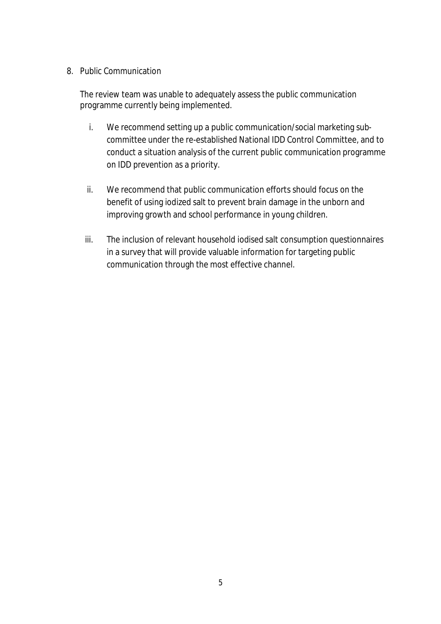### 8. Public Communication

The review team was unable to adequately assess the public communication programme currently being implemented.

- i. We recommend setting up a public communication/social marketing subcommittee under the re-established National IDD Control Committee, and to conduct a situation analysis of the current public communication programme on IDD prevention as a priority.
- ii. We recommend that public communication efforts should focus on the benefit of using iodized salt to prevent brain damage in the unborn and improving growth and school performance in young children.
- iii. The inclusion of relevant household iodised salt consumption questionnaires in a survey that will provide valuable information for targeting public communication through the most effective channel.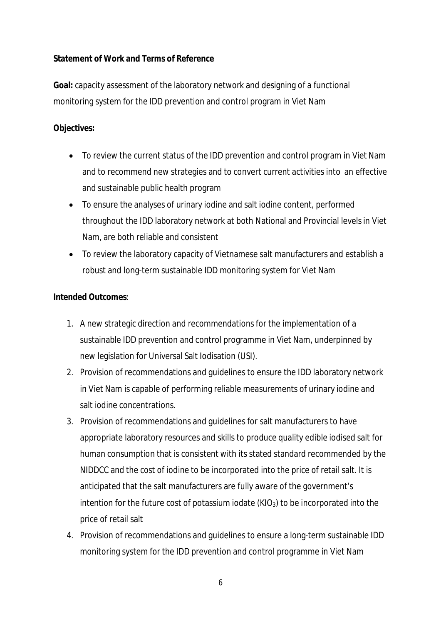### **Statement of Work and Terms of Reference**

**Goal:** capacity assessment of the laboratory network and designing of a functional monitoring system for the IDD prevention and control program in Viet Nam

## **Objectives:**

- To review the current status of the IDD prevention and control program in Viet Nam and to recommend new strategies and to convert current activities into an effective and sustainable public health program
- To ensure the analyses of urinary iodine and salt iodine content, performed throughout the IDD laboratory network at both National and Provincial levels in Viet Nam, are both reliable and consistent
- To review the laboratory capacity of Vietnamese salt manufacturers and establish a robust and long-term sustainable IDD monitoring system for Viet Nam

### **Intended Outcomes**:

- 1. A new strategic direction and recommendations for the implementation of a sustainable IDD prevention and control programme in Viet Nam, underpinned by new legislation for Universal Salt Iodisation (USI).
- 2. Provision of recommendations and guidelines to ensure the IDD laboratory network in Viet Nam is capable of performing reliable measurements of urinary iodine and salt iodine concentrations.
- 3. Provision of recommendations and guidelines for salt manufacturers to have appropriate laboratory resources and skills to produce quality edible iodised salt for human consumption that is consistent with its stated standard recommended by the NIDDCC and the cost of iodine to be incorporated into the price of retail salt. It is anticipated that the salt manufacturers are fully aware of the government's intention for the future cost of potassium iodate  $(KIO<sub>3</sub>)$  to be incorporated into the price of retail salt
- 4. Provision of recommendations and guidelines to ensure a long-term sustainable IDD monitoring system for the IDD prevention and control programme in Viet Nam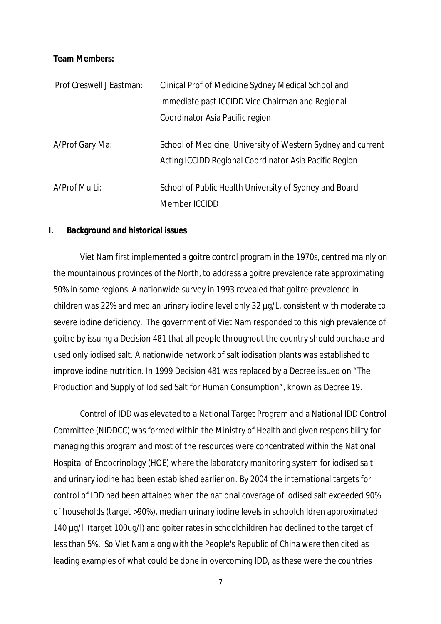**Team Members:**

| Prof Creswell J Eastman: | Clinical Prof of Medicine Sydney Medical School and          |  |
|--------------------------|--------------------------------------------------------------|--|
|                          | immediate past ICCIDD Vice Chairman and Regional             |  |
|                          | Coordinator Asia Pacific region                              |  |
|                          |                                                              |  |
| A/Prof Gary Ma:          | School of Medicine, University of Western Sydney and current |  |
|                          | Acting ICCIDD Regional Coordinator Asia Pacific Region       |  |
|                          |                                                              |  |
| A/Prof Mu Li:            | School of Public Health University of Sydney and Board       |  |
|                          | Member ICCIDD                                                |  |

#### **I. Background and historical issues**

Viet Nam first implemented a goitre control program in the 1970s, centred mainly on the mountainous provinces of the North, to address a goitre prevalence rate approximating 50% in some regions. A nationwide survey in 1993 revealed that goitre prevalence in children was 22% and median urinary iodine level only 32 µg/L, consistent with moderate to severe iodine deficiency. The government of Viet Nam responded to this high prevalence of goitre by issuing a Decision 481 that all people throughout the country should purchase and used only iodised salt. A nationwide network of salt iodisation plants was established to improve iodine nutrition. In 1999 Decision 481 was replaced by a Decree issued on "The Production and Supply of Iodised Salt for Human Consumption", known as Decree 19.

Control of IDD was elevated to a National Target Program and a National IDD Control Committee (NIDDCC) was formed within the Ministry of Health and given responsibility for managing this program and most of the resources were concentrated within the National Hospital of Endocrinology (HOE) where the laboratory monitoring system for iodised salt and urinary iodine had been established earlier on. By 2004 the international targets for control of IDD had been attained when the national coverage of iodised salt exceeded 90% of households (target >90%), median urinary iodine levels in schoolchildren approximated 140 µg/l (target 100ug/l) and goiter rates in schoolchildren had declined to the target of less than 5%. So Viet Nam along with the People's Republic of China were then cited as leading examples of what could be done in overcoming IDD, as these were the countries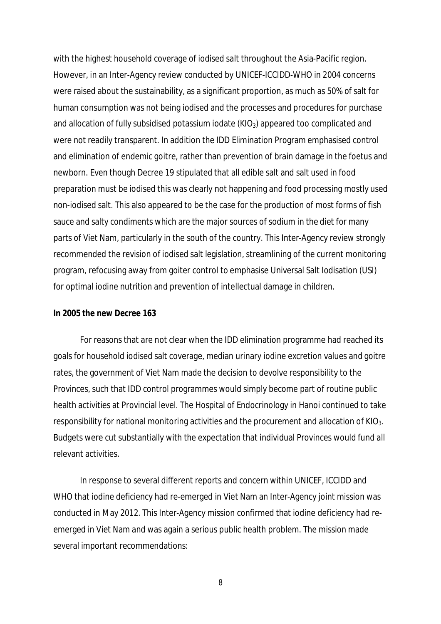with the highest household coverage of iodised salt throughout the Asia-Pacific region. However, in an Inter-Agency review conducted by UNICEF-ICCIDD-WHO in 2004 concerns were raised about the sustainability, as a significant proportion, as much as 50% of salt for human consumption was not being iodised and the processes and procedures for purchase and allocation of fully subsidised potassium iodate  $(KIO<sub>3</sub>)$  appeared too complicated and were not readily transparent. In addition the IDD Elimination Program emphasised control and elimination of endemic goitre, rather than prevention of brain damage in the foetus and newborn. Even though Decree 19 stipulated that all edible salt and salt used in food preparation must be iodised this was clearly not happening and food processing mostly used non-iodised salt. This also appeared to be the case for the production of most forms of fish sauce and salty condiments which are the major sources of sodium in the diet for many parts of Viet Nam, particularly in the south of the country. This Inter-Agency review strongly recommended the revision of iodised salt legislation, streamlining of the current monitoring program, refocusing away from goiter control to emphasise Universal Salt Iodisation (USI) for optimal iodine nutrition and prevention of intellectual damage in children.

#### **In 2005 the new Decree 163**

For reasons that are not clear when the IDD elimination programme had reached its goals for household iodised salt coverage, median urinary iodine excretion values and goitre rates, the government of Viet Nam made the decision to devolve responsibility to the Provinces, such that IDD control programmes would simply become part of routine public health activities at Provincial level. The Hospital of Endocrinology in Hanoi continued to take responsibility for national monitoring activities and the procurement and allocation of KIO<sub>3</sub>. Budgets were cut substantially with the expectation that individual Provinces would fund all relevant activities.

In response to several different reports and concern within UNICEF, ICCIDD and WHO that iodine deficiency had re-emerged in Viet Nam an Inter-Agency joint mission was conducted in May 2012. This Inter-Agency mission confirmed that iodine deficiency had reemerged in Viet Nam and was again a serious public health problem. The mission made several important recommendations: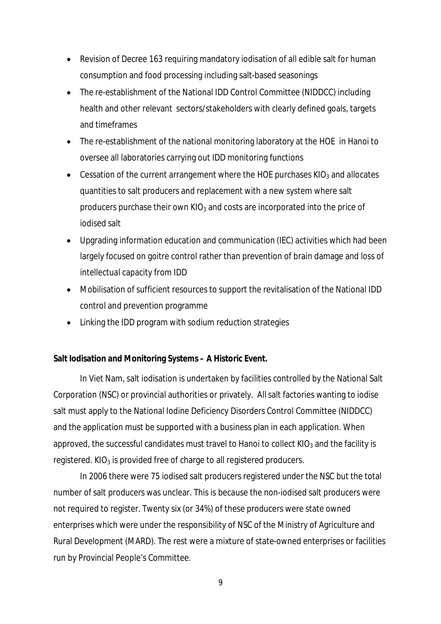- Revision of Decree 163 requiring mandatory iodisation of all edible salt for human consumption and food processing including salt-based seasonings
- The re-establishment of the National IDD Control Committee (NIDDCC) including health and other relevant sectors/stakeholders with clearly defined goals, targets and timeframes
- The re-establishment of the national monitoring laboratory at the HOE in Hanoi to oversee all laboratories carrying out IDD monitoring functions
- **Cessation of the current arrangement where the HOE purchases KIO<sub>3</sub> and allocates** quantities to salt producers and replacement with a new system where salt producers purchase their own  $KIO<sub>3</sub>$  and costs are incorporated into the price of iodised salt
- Upgrading information education and communication (IEC) activities which had been largely focused on goitre control rather than prevention of brain damage and loss of intellectual capacity from IDD
- Mobilisation of sufficient resources to support the revitalisation of the National IDD control and prevention programme
- Linking the IDD program with sodium reduction strategies

### **Salt Iodisation and Monitoring Systems – A Historic Event.**

In Viet Nam, salt iodisation is undertaken by facilities controlled by the National Salt Corporation (NSC) or provincial authorities or privately. Allsalt factories wanting to iodise salt must apply to the National Iodine Deficiency Disorders Control Committee (NIDDCC) and the application must be supported with a business plan in each application. When approved, the successful candidates must travel to Hanoi to collect  $KIO<sub>3</sub>$  and the facility is registered. KIO<sub>3</sub> is provided free of charge to all registered producers.

In 2006 there were 75 iodised salt producers registered under the NSC but the total number of salt producers was unclear. This is because the non-iodised salt producers were not required to register. Twenty six (or 34%) of these producers were state owned enterprises which were under the responsibility of NSC of the Ministry of Agriculture and Rural Development (MARD). The rest were a mixture of state-owned enterprises or facilities run by Provincial People's Committee.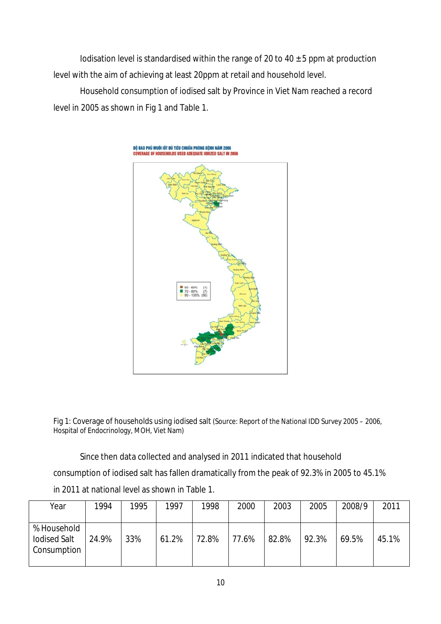Iodisation level is standardised within the range of 20 to 40  $\pm$  5 ppm at production level with the aim of achieving at least 20ppm at retail and household level.

Household consumption of iodised salt by Province in Viet Nam reached a record level in 2005 as shown in Fig 1 and Table 1.



Fig 1: Coverage of households using iodised salt (Source: Report of the National IDD Survey 2005 – 2006, Hospital of Endocrinology, MOH, Viet Nam)

Since then data collected and analysed in 2011 indicated that household consumption of iodised salt has fallen dramatically from the peak of 92.3% in 2005 to 45.1% in 2011 at national level as shown in Table 1.

| Year                                              | 1994  | 1995 | 1997  | 1998  | 2000  | 2003  | 2005  | 2008/9 | 2011  |
|---------------------------------------------------|-------|------|-------|-------|-------|-------|-------|--------|-------|
| % Household<br><b>lodised Salt</b><br>Consumption | 24.9% | 33%  | 61.2% | 72.8% | 77.6% | 82.8% | 92.3% | 69.5%  | 45.1% |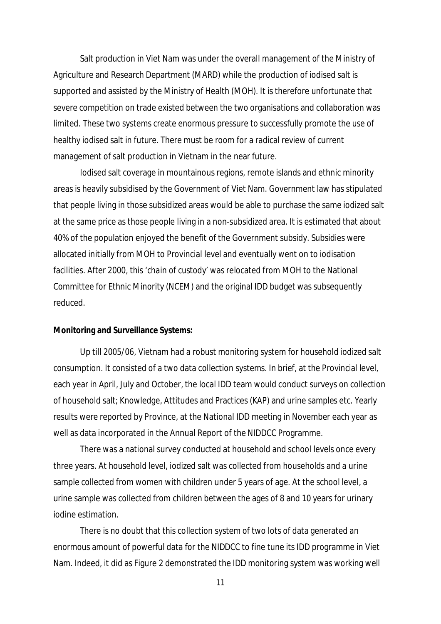Salt production in Viet Nam was under the overall management of the Ministry of Agriculture and Research Department (MARD) while the production of iodised salt is supported and assisted by the Ministry of Health (MOH). It is therefore unfortunate that severe competition on trade existed between the two organisations and collaboration was limited. These two systems create enormous pressure to successfully promote the use of healthy iodised salt in future. There must be room for a radical review of current management of salt production in Vietnam in the near future.

Iodised salt coverage in mountainous regions, remote islands and ethnic minority areas is heavily subsidised by the Government of Viet Nam. Government law has stipulated that people living in those subsidized areas would be able to purchase the same iodized salt at the same price as those people living in a non-subsidized area. It is estimated that about 40% of the population enjoyed the benefit of the Government subsidy. Subsidies were allocated initially from MOH to Provincial level and eventually went on to iodisation facilities. After 2000, this *'chain of custody'* was relocated from MOH to the National Committee for Ethnic Minority (NCEM) and the original IDD budget was subsequently reduced.

#### **Monitoring and Surveillance Systems:**

Up till 2005/06, Vietnam had a robust monitoring system for household iodized salt consumption. It consisted of a two data collection systems. In brief, at the Provincial level, each year in April, July and October, the local IDD team would conduct surveys on collection of household salt; Knowledge, Attitudes and Practices (KAP) and urine samples etc. Yearly results were reported by Province, at the National IDD meeting in November each year as well as data incorporated in the Annual Report of the NIDDCC Programme.

There was a national survey conducted at household and school levels once every three years. At household level, iodized salt was collected from households and a urine sample collected from women with children under 5 years of age. At the school level, a urine sample was collected from children between the ages of 8 and 10 years for urinary iodine estimation.

There is no doubt that this collection system of two lots of data generated an enormous amount of powerful data for the NIDDCC to fine tune its IDD programme in Viet Nam. Indeed, it did as Figure 2 demonstrated the IDD monitoring system was working well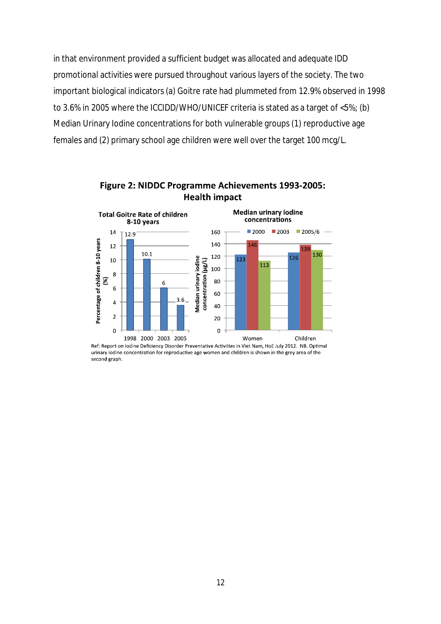in that environment provided a sufficient budget was allocated and adequate IDD promotional activities were pursued throughout various layers of the society. The two important biological indicators (a) Goitre rate had plummeted from 12.9% observed in 1998 to 3.6% in 2005 where the ICCIDD/WHO/UNICEF criteria is stated as a target of <5%; (b) Median Urinary Iodine concentrations for both vulnerable groups (1) reproductive age females and (2) primary school age children were well over the target 100 mcg/L.



Figure 2: NIDDC Programme Achievements 1993-2005: **Health impact** 

Ref: Report on lodine Deficiency Disorder Preventative Activities in Viet Nam, HoE July 2012. NB. Optimal urinary iodine concentration for reproductive age women and children is shown in the grey area of the second graph.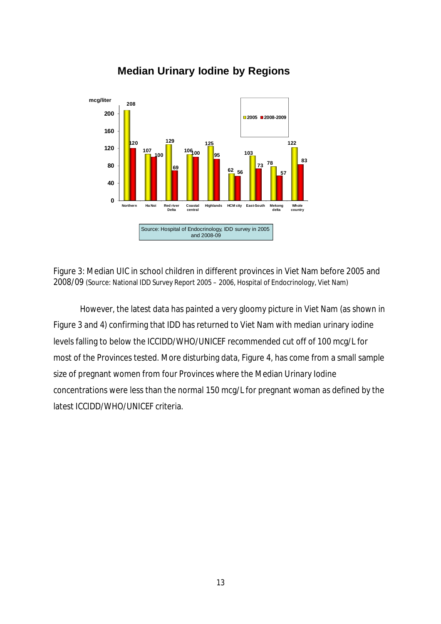

# **Median Urinary Iodine by Regions**

Figure 3: Median UIC in school children in different provinces in Viet Nam before 2005 and 2008/09 (Source: National IDD Survey Report 2005 – 2006, Hospital of Endocrinology, Viet Nam)

However, the latest data has painted a very gloomy picture in Viet Nam (as shown in Figure 3 and 4) confirming that IDD has returned to Viet Nam with median urinary iodine levels falling to below the ICCIDD/WHO/UNICEF recommended cut off of 100 mcg/L for most of the Provinces tested. More disturbing data, Figure 4, has come from a small sample size of pregnant women from four Provinces where the Median Urinary Iodine concentrations were less than the normal 150 mcg/L for pregnant woman as defined by the latest ICCIDD/WHO/UNICEF criteria.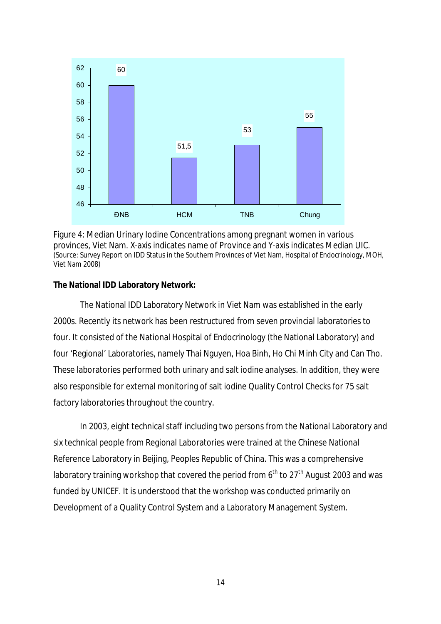

Figure 4: Median Urinary Iodine Concentrations among pregnant women in various provinces, Viet Nam. X-axis indicates name of Province and Y-axis indicates Median UIC. (Source: Survey Report on IDD Status in the Southern Provinces of Viet Nam, Hospital of Endocrinology, MOH, Viet Nam 2008)

#### **The National IDD Laboratory Network:**

The National IDD Laboratory Network in Viet Nam was established in the early 2000s. Recently its network has been restructured from seven provincial laboratories to four. It consisted of the National Hospital of Endocrinology (the National Laboratory) and four 'Regional' Laboratories, namely Thai Nguyen, Hoa Binh, Ho Chi Minh City and Can Tho. These laboratories performed both urinary and salt iodine analyses. In addition, they were also responsible for external monitoring of salt iodine Quality Control Checks for 75 salt factory laboratories throughout the country.

In 2003, eight technical staff including two persons from the National Laboratory and six technical people from Regional Laboratories were trained at the Chinese National Reference Laboratory in Beijing, Peoples Republic of China. This was a comprehensive laboratory training workshop that covered the period from  $6<sup>th</sup>$  to  $27<sup>th</sup>$  August 2003 and was funded by UNICEF. It is understood that the workshop was conducted primarily on Development of a Quality Control System and a Laboratory Management System.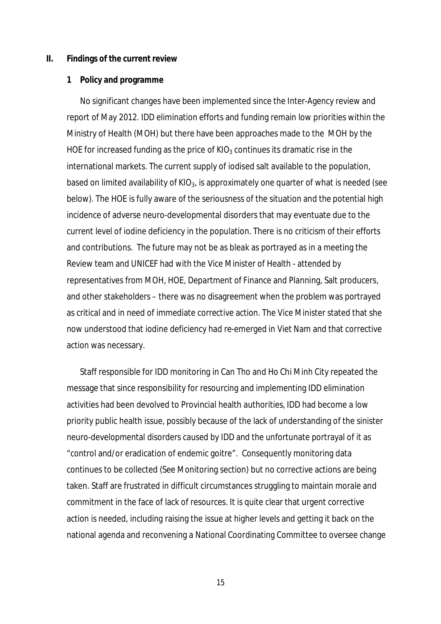#### **II. Findings of the current review**

#### **1 Policy and programme**

No significant changes have been implemented since the Inter-Agency review and report of May 2012. IDD elimination efforts and funding remain low priorities within the Ministry of Health (MOH) but there have been approaches made to the MOH by the HOE for increased funding as the price of  $KIO<sub>3</sub>$  continues its dramatic rise in the international markets. The current supply of iodised salt available to the population, based on limited availability of  $KIO<sub>3</sub>$ , is approximately one quarter of what is needed (see below). The HOE is fully aware of the seriousness of the situation and the potential high incidence of adverse neuro-developmental disorders that may eventuate due to the current level of iodine deficiency in the population. There is no criticism of their efforts and contributions. The future may not be as bleak as portrayed as in a meeting the Review team and UNICEF had with the Vice Minister of Health - attended by representatives from MOH, HOE, Department of Finance and Planning, Salt producers, and other stakeholders – there was no disagreement when the problem was portrayed as critical and in need of immediate corrective action. The Vice Minister stated that she now understood that iodine deficiency had re-emerged in Viet Nam and that corrective action was necessary.

Staff responsible for IDD monitoring in Can Tho and Ho Chi Minh City repeated the message that since responsibility for resourcing and implementing IDD elimination activities had been devolved to Provincial health authorities, IDD had become a low priority public health issue, possibly because of the lack of understanding of the sinister neuro-developmental disorders caused by IDD and the unfortunate portrayal of it as "control and/or eradication of endemic goitre". Consequently monitoring data continues to be collected (See Monitoring section) but no corrective actions are being taken. Staff are frustrated in difficult circumstances struggling to maintain morale and commitment in the face of lack of resources. It is quite clear that urgent corrective action is needed, including raising the issue at higher levels and getting it back on the national agenda and reconvening a National Coordinating Committee to oversee change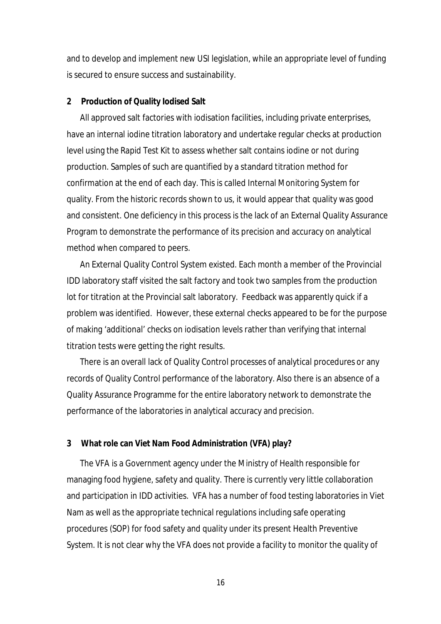and to develop and implement new USI legislation, while an appropriate level of funding is secured to ensure success and sustainability.

#### **2 Production of Quality Iodised Salt**

All approved salt factories with iodisation facilities, including private enterprises, have an internal iodine titration laboratory and undertake regular checks at production level using the Rapid Test Kit to assess whether salt contains iodine or not during production. Samples of such are quantified by a standard titration method for confirmation at the end of each day. This is called Internal Monitoring System for quality. From the historic records shown to us, it would appear that quality was good and consistent. One deficiency in this process is the lack of an External Quality Assurance Program to demonstrate the performance of its precision and accuracy on analytical method when compared to peers.

An External Quality Control System existed. Each month a member of the Provincial IDD laboratory staff visited the salt factory and took two samples from the production lot for titration at the Provincial salt laboratory. Feedback was apparently quick if a problem was identified. However, these external checks appeared to be for the purpose of making 'additional' checks on iodisation levels rather than verifying that internal titration tests were getting the right results.

There is an overall lack of Quality Control processes of analytical procedures or any records of Quality Control performance of the laboratory. Also there is an absence of a Quality Assurance Programme for the entire laboratory network to demonstrate the performance of the laboratories in analytical accuracy and precision.

#### **3 What role can Viet Nam Food Administration (VFA) play?**

The VFA is a Government agency under the Ministry of Health responsible for managing food hygiene, safety and quality. There is currently very little collaboration and participation in IDD activities. VFA has a number of food testing laboratories in Viet Nam as well as the appropriate technical regulations including safe operating procedures (SOP) for food safety and quality under its present Health Preventive System. It is not clear why the VFA does not provide a facility to monitor the quality of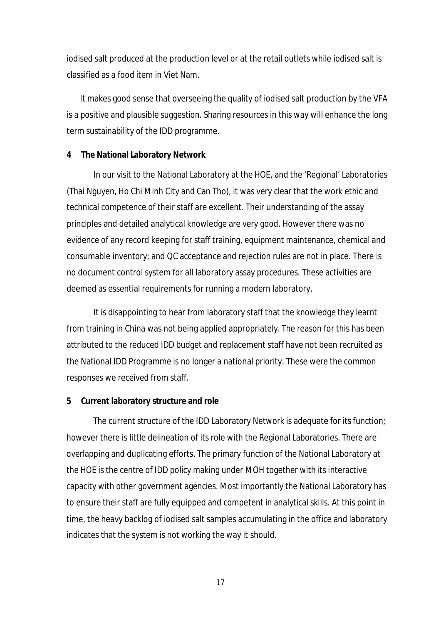iodised salt produced at the production level or at the retail outlets while iodised salt is classified as a food item in Viet Nam.

It makes good sense that overseeing the quality of iodised salt production by the VFA is a positive and plausible suggestion. Sharing resources in this way will enhance the long term sustainability of the IDD programme.

#### **4 The National Laboratory Network**

In our visit to the National Laboratory at the HOE, and the 'Regional' Laboratories (Thai Nguyen, Ho Chi Minh City and Can Tho), it was very clear that the work ethic and technical competence of their staff are excellent. Their understanding of the assay principles and detailed analytical knowledge are very good. However there was no evidence of any record keeping for staff training, equipment maintenance, chemical and consumable inventory; and QC acceptance and rejection rules are not in place. There is no document control system for all laboratory assay procedures. These activities are deemed as essential requirements for running a modern laboratory.

It is disappointing to hear from laboratory staff that the knowledge they learnt from training in China was not being applied appropriately. The reason for this has been attributed to the reduced IDD budget and replacement staff have not been recruited as the National IDD Programme is no longer a national priority. These were the common responses we received from staff.

#### **5 Current laboratory structure and role**

The current structure of the IDD Laboratory Network is adequate for its function; however there is little delineation of its role with the Regional Laboratories. There are overlapping and duplicating efforts. The primary function of the National Laboratory at the HOE is the centre of IDD policy making under MOH together with its interactive capacity with other government agencies. Most importantly the National Laboratory has to ensure their staff are fully equipped and competent in analytical skills. At this point in time, the heavy backlog of iodised salt samples accumulating in the office and laboratory indicates that the system is not working the way it should.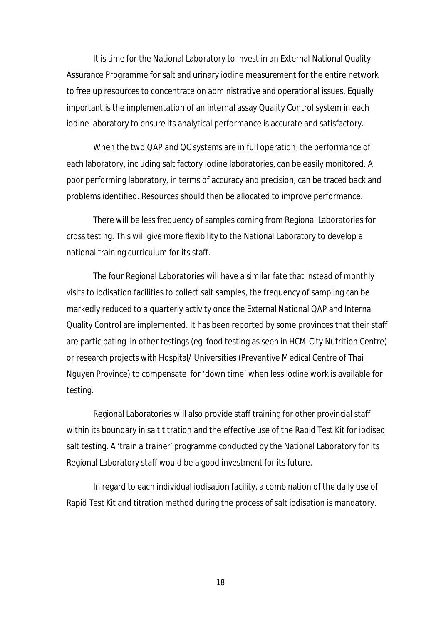It is time for the National Laboratory to invest in an External National Quality Assurance Programme for salt and urinary iodine measurement for the entire network to free up resources to concentrate on administrative and operational issues. Equally important is the implementation of an internal assay Quality Control system in each iodine laboratory to ensure its analytical performance is accurate and satisfactory.

When the two QAP and QC systems are in full operation, the performance of each laboratory, including salt factory iodine laboratories, can be easily monitored. A poor performing laboratory, in terms of accuracy and precision, can be traced back and problems identified. Resources should then be allocated to improve performance.

There will be less frequency of samples coming from Regional Laboratories for cross testing. This will give more flexibility to the National Laboratory to develop a national training curriculum for its staff.

The four Regional Laboratories will have a similar fate that instead of monthly visits to iodisation facilities to collect salt samples, the frequency of sampling can be markedly reduced to a quarterly activity once the External National QAP and Internal Quality Control are implemented. It has been reported by some provinces that their staff are participating in other testings (eg food testing as seen in HCM City Nutrition Centre) or research projects with Hospital/ Universities (Preventive Medical Centre of Thai Nguyen Province) to compensate for 'down time' when less iodine work is available for testing.

Regional Laboratories will also provide staff training for other provincial staff within its boundary in salt titration and the effective use of the Rapid Test Kit for iodised salt testing. A *'train a trainer'* programme conducted by the National Laboratory for its Regional Laboratory staff would be a good investment for its future.

In regard to each individual iodisation facility, a combination of the daily use of Rapid Test Kit and titration method during the process of salt iodisation is mandatory.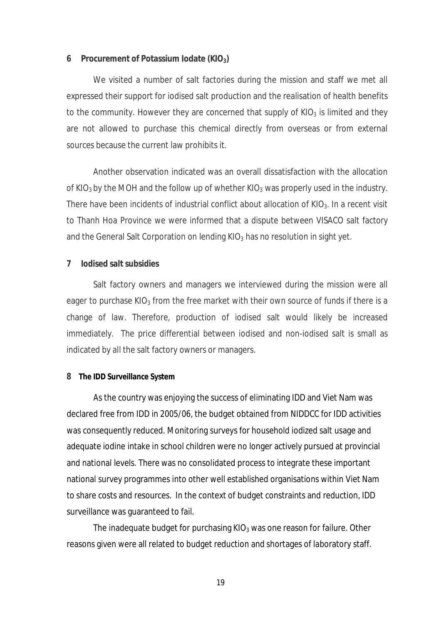#### **6 Procurement of Potassium Iodate (KIO3)**

We visited a number of salt factories during the mission and staff we met all expressed their support for iodised salt production and the realisation of health benefits to the community. However they are concerned that supply of  $KIO<sub>3</sub>$  is limited and they are not allowed to purchase this chemical directly from overseas or from external sources because the current law prohibits it.

Another observation indicated was an overall dissatisfaction with the allocation of KIO<sub>3</sub> by the MOH and the follow up of whether KIO<sub>3</sub> was properly used in the industry. There have been incidents of industrial conflict about allocation of KIO<sub>3</sub>. In a recent visit to Thanh Hoa Province we were informed that a dispute between VISACO salt factory and the General Salt Corporation on lending  $KIO<sub>3</sub>$  has no resolution in sight yet.

#### **7 Iodised salt subsidies**

Salt factory owners and managers we interviewed during the mission were all eager to purchase KIO<sub>3</sub> from the free market with their own source of funds if there is a change of law. Therefore, production of iodised salt would likely be increased immediately. The price differential between iodised and non-iodised salt is small as indicated by all the salt factory owners or managers.

#### **8 The IDD Surveillance System**

As the country was enjoying the success of eliminating IDD and Viet Nam was declared free from IDD in 2005/06, the budget obtained from NIDDCC for IDD activities was consequently reduced. Monitoring surveys for household iodized salt usage and adequate iodine intake in school children were no longer actively pursued at provincial and national levels. There was no consolidated process to integrate these important national survey programmes into other well established organisations within Viet Nam to share costs and resources. In the context of budget constraints and reduction, IDD surveillance was guaranteed to fail.

The inadequate budget for purchasing KIO $_3$  was one reason for failure. Other reasons given were all related to budget reduction and shortages of laboratory staff.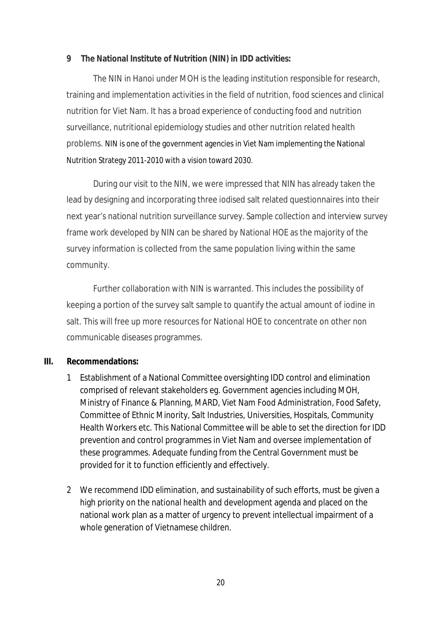### **9 The National Institute of Nutrition (NIN) in IDD activities:**

The NIN in Hanoi under MOH is the leading institution responsible for research, training and implementation activities in the field of nutrition, food sciences and clinical nutrition for Viet Nam. It has a broad experience of conducting food and nutrition surveillance, nutritional epidemiology studies and other nutrition related health problems. NIN is one of the government agencies in Viet Nam implementing the National Nutrition Strategy 2011-2010 with a vision toward 2030.

During our visit to the NIN, we were impressed that NIN has already taken the lead by designing and incorporating three iodised salt related questionnaires into their next year's national nutrition surveillance survey. Sample collection and interview survey frame work developed by NIN can be shared by National HOE as the majority of the survey information is collected from the same population living within the same community.

Further collaboration with NIN is warranted. This includes the possibility of keeping a portion of the survey salt sample to quantify the actual amount of iodine in salt. This will free up more resources for National HOE to concentrate on other non communicable diseases programmes.

### **III. Recommendations:**

- 1 Establishment of a National Committee oversighting IDD control and elimination comprised of relevant stakeholders eg. Government agencies including MOH, Ministry of Finance & Planning, MARD, Viet Nam Food Administration, Food Safety, Committee of Ethnic Minority, Salt Industries, Universities, Hospitals, Community Health Workers etc. This National Committee will be able to set the direction for IDD prevention and control programmes in Viet Nam and oversee implementation of these programmes. Adequate funding from the Central Government must be provided for it to function efficiently and effectively.
- 2 We recommend IDD elimination, and sustainability of such efforts, must be given a high priority on the national health and development agenda and placed on the national work plan as a matter of urgency to prevent intellectual impairment of a whole generation of Vietnamese children.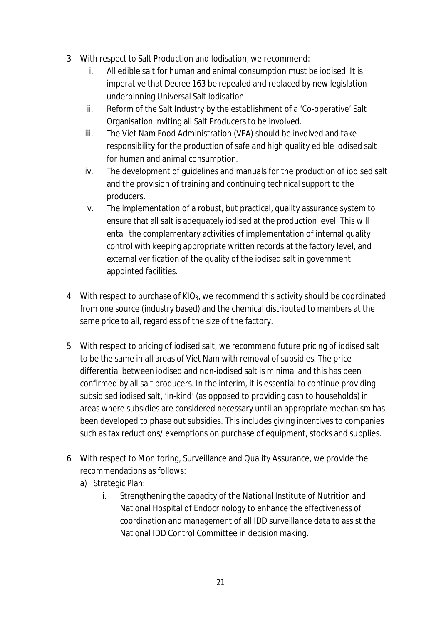- 3 With respect to Salt Production and Iodisation, we recommend:
	- i. All edible salt for human and animal consumption must be iodised. It is imperative that Decree 163 be repealed and replaced by new legislation underpinning Universal Salt Iodisation.
	- ii. Reform of the Salt Industry by the establishment of a 'Co-operative' Salt Organisation inviting all Salt Producers to be involved.
	- iii. The Viet Nam Food Administration (VFA) should be involved and take responsibility for the production of safe and high quality edible iodised salt for human and animal consumption.
	- iv. The development of guidelines and manuals for the production of iodised salt and the provision of training and continuing technical support to the producers.
	- v. The implementation of a robust, but practical, quality assurance system to ensure that all salt is adequately iodised at the production level. This will entail the complementary activities of implementation of internal quality control with keeping appropriate written records at the factory level, and external verification of the quality of the iodised salt in government appointed facilities.
- 4 With respect to purchase of  $KIO_{3}$ , we recommend this activity should be coordinated from one source (industry based) and the chemical distributed to members at the same price to all, regardless of the size of the factory.
- 5 With respect to pricing of iodised salt, we recommend future pricing of iodised salt to be the same in all areas of Viet Nam with removal of subsidies. The price differential between iodised and non-iodised salt is minimal and this has been confirmed by all salt producers. In the interim, it is essential to continue providing subsidised iodised salt, 'in-kind' (as opposed to providing cash to households) in areas where subsidies are considered necessary until an appropriate mechanism has been developed to phase out subsidies. This includes giving incentives to companies such as tax reductions/ exemptions on purchase of equipment, stocks and supplies.
- 6 With respect to Monitoring, Surveillance and Quality Assurance, we provide the recommendations as follows:
	- a) Strategic Plan:
		- i. Strengthening the capacity of the National Institute of Nutrition and National Hospital of Endocrinology to enhance the effectiveness of coordination and management of all IDD surveillance data to assist the National IDD Control Committee in decision making.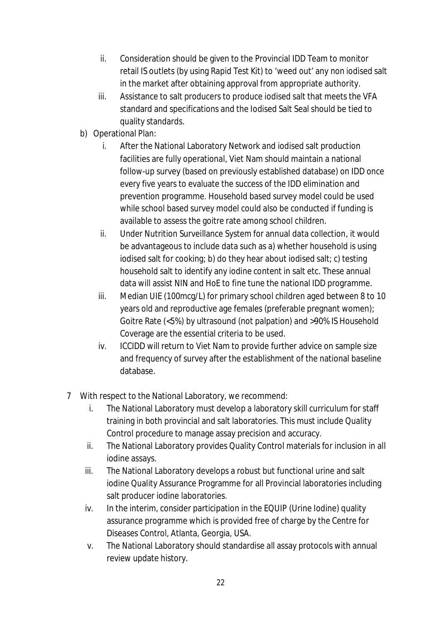- ii. Consideration should be given to the Provincial IDD Team to monitor retail IS outlets (by using Rapid Test Kit) to 'weed out' any non iodised salt in the market after obtaining approval from appropriate authority.
- iii. Assistance to salt producers to produce iodised salt that meets the VFA standard and specifications and the Iodised Salt Seal should be tied to quality standards.
- b) Operational Plan:
	- i. After the National Laboratory Network and iodised salt production facilities are fully operational, Viet Nam should maintain a national follow-up survey (based on previously established database) on IDD once every five years to evaluate the success of the IDD elimination and prevention programme. Household based survey model could be used while school based survey model could also be conducted if funding is available to assess the goitre rate among school children.
	- ii. Under Nutrition Surveillance System for annual data collection, it would be advantageous to include data such as a) whether household is using iodised salt for cooking; b) do they hear about iodised salt; c) testing household salt to identify any iodine content in salt etc. These annual data will assist NIN and HoE to fine tune the national IDD programme.
	- iii. Median UIE (100mcg/L) for primary school children aged between 8 to 10 years old and reproductive age females (preferable pregnant women); Goitre Rate (<5%) by ultrasound (not palpation) and >90% IS Household Coverage are the essential criteria to be used.
	- iv. ICCIDD will return to Viet Nam to provide further advice on sample size and frequency of survey after the establishment of the national baseline database.
- 7 With respect to the National Laboratory, we recommend:
	- i. The National Laboratory must develop a laboratory skill curriculum for staff training in both provincial and salt laboratories. This must include Quality Control procedure to manage assay precision and accuracy.
	- ii. The National Laboratory provides Quality Control materials for inclusion in all iodine assays.
	- iii. The National Laboratory develops a robust but functional urine and salt iodine Quality Assurance Programme for all Provincial laboratories including salt producer iodine laboratories.
	- iv. In the interim, consider participation in the EQUIP (Urine Iodine) quality assurance programme which is provided free of charge by the Centre for Diseases Control, Atlanta, Georgia, USA.
	- v. The National Laboratory should standardise all assay protocols with annual review update history.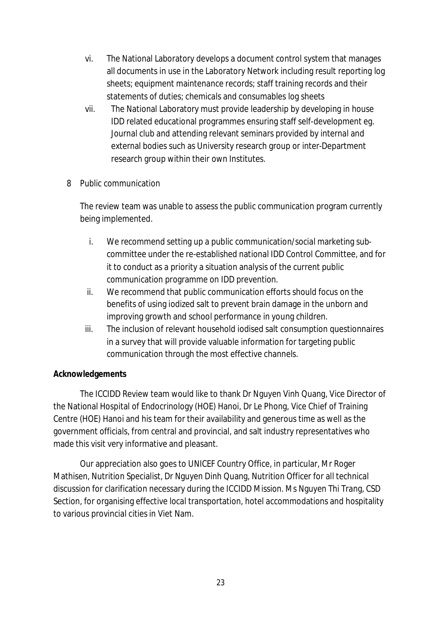- vi. The National Laboratory develops a document control system that manages all documents in use in the Laboratory Network including result reporting log sheets; equipment maintenance records; staff training records and their statements of duties; chemicals and consumables log sheets
- vii. The National Laboratory must provide leadership by developing in house IDD related educational programmes ensuring staff self-development eg. Journal club and attending relevant seminars provided by internal and external bodies such as University research group or inter-Department research group within their own Institutes.
- 8 Public communication

The review team was unable to assess the public communication program currently being implemented.

- i. We recommend setting up a public communication/social marketing subcommittee under the re-established national IDD Control Committee, and for it to conduct as a priority a situation analysis of the current public communication programme on IDD prevention.
- ii. We recommend that public communication efforts should focus on the benefits of using iodized salt to prevent brain damage in the unborn and improving growth and school performance in young children.
- iii. The inclusion of relevant household iodised salt consumption questionnaires in a survey that will provide valuable information for targeting public communication through the most effective channels.

# **Acknowledgements**

The ICCIDD Review team would like to thank Dr Nguyen Vinh Quang, Vice Director of the National Hospital of Endocrinology (HOE) Hanoi, Dr Le Phong, Vice Chief of Training Centre (HOE) Hanoi and his team for their availability and generous time as well as the government officials, from central and provincial, and salt industry representatives who made this visit very informative and pleasant.

Our appreciation also goes to UNICEF Country Office, in particular, Mr Roger Mathisen, Nutrition Specialist, Dr Nguyen Dinh Quang, Nutrition Officer for all technical discussion for clarification necessary during the ICCIDD Mission. Ms Nguyen Thi Trang, CSD Section, for organising effective local transportation, hotel accommodations and hospitality to various provincial cities in Viet Nam.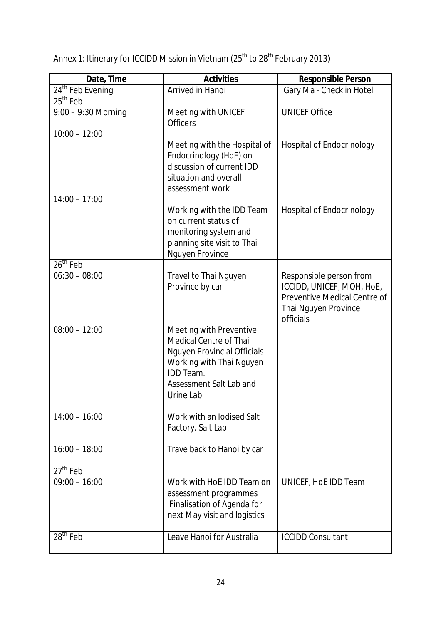Annex 1: Itinerary for ICCIDD Mission in Vietnam (25<sup>th</sup> to 28<sup>th</sup> February 2013)

| Date, Time                                             | <b>Activities</b>                                                                                                                                                                      |                                                                                                                           |  |
|--------------------------------------------------------|----------------------------------------------------------------------------------------------------------------------------------------------------------------------------------------|---------------------------------------------------------------------------------------------------------------------------|--|
| 24 <sup>th</sup> Feb Evening                           | Arrived in Hanoi                                                                                                                                                                       | Gary Ma - Check in Hotel                                                                                                  |  |
| $25th$ Feb<br>$9:00 - 9:30$ Morning<br>$10:00 - 12:00$ | Meeting with UNICEF<br><b>Officers</b>                                                                                                                                                 | <b>UNICEF Office</b>                                                                                                      |  |
| $14:00 - 17:00$                                        | Meeting with the Hospital of<br>Endocrinology (HoE) on<br>discussion of current IDD<br>situation and overall<br>assessment work                                                        | <b>Hospital of Endocrinology</b>                                                                                          |  |
|                                                        | Working with the IDD Team<br>on current status of<br>monitoring system and<br>planning site visit to Thai<br><b>Nguyen Province</b>                                                    | <b>Hospital of Endocrinology</b>                                                                                          |  |
| $26th$ Feb                                             |                                                                                                                                                                                        |                                                                                                                           |  |
| $06:30 - 08:00$                                        | <b>Travel to Thai Nguyen</b><br>Province by car                                                                                                                                        | Responsible person from<br>ICCIDD, UNICEF, MOH, HoE,<br>Preventive Medical Centre of<br>Thai Nguyen Province<br>officials |  |
| $08:00 - 12:00$                                        | Meeting with Preventive<br><b>Medical Centre of Thai</b><br><b>Nguyen Provincial Officials</b><br>Working with Thai Nguyen<br><b>IDD</b> Team.<br>Assessment Salt Lab and<br>Urine Lab |                                                                                                                           |  |
| $14:00 - 16:00$                                        | Work with an lodised Salt<br>Factory. Salt Lab                                                                                                                                         |                                                                                                                           |  |
| $16:00 - 18:00$                                        | Trave back to Hanoi by car                                                                                                                                                             |                                                                                                                           |  |
| $27th$ Feb                                             |                                                                                                                                                                                        |                                                                                                                           |  |
| $09:00 - 16:00$                                        | Work with HoE IDD Team on<br>assessment programmes<br>Finalisation of Agenda for<br>next May visit and logistics                                                                       | UNICEF, HoE IDD Team                                                                                                      |  |
| $28th$ Feb                                             | Leave Hanoi for Australia                                                                                                                                                              | <b>ICCIDD Consultant</b>                                                                                                  |  |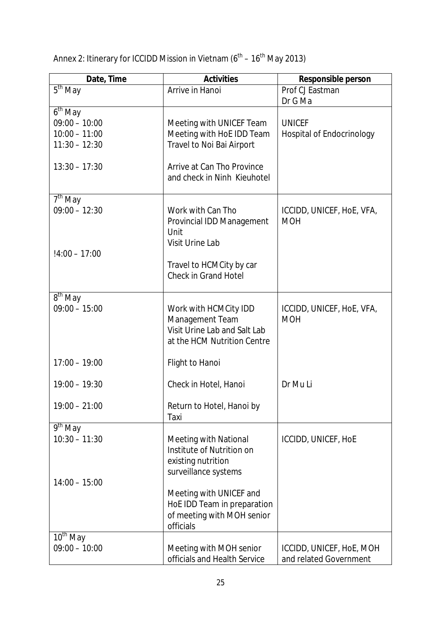| Date, Time                         | <b>Activities</b>                                       | <b>Responsible person</b>        |  |  |
|------------------------------------|---------------------------------------------------------|----------------------------------|--|--|
| $5th$ May                          | Arrive in Hanoi                                         | Prof CJ Eastman                  |  |  |
|                                    |                                                         | Dr G Ma                          |  |  |
| $6^{\text{th}}$ May                |                                                         |                                  |  |  |
| $09:00 - 10:00$<br>$10:00 - 11:00$ | Meeting with UNICEF Team                                | <b>UNICEF</b>                    |  |  |
| $11:30 - 12:30$                    | Meeting with HoE IDD Team<br>Travel to Noi Bai Airport  | <b>Hospital of Endocrinology</b> |  |  |
|                                    |                                                         |                                  |  |  |
| $13:30 - 17:30$                    | Arrive at Can Tho Province                              |                                  |  |  |
|                                    | and check in Ninh Kieuhotel                             |                                  |  |  |
| $\overline{7^{th}}$ May            |                                                         |                                  |  |  |
| $09:00 - 12:30$                    | Work with Can Tho                                       | ICCIDD, UNICEF, HOE, VFA,        |  |  |
|                                    | Provincial IDD Management                               | <b>MOH</b>                       |  |  |
|                                    | Unit                                                    |                                  |  |  |
|                                    | Visit Urine Lab                                         |                                  |  |  |
| $!4:00 - 17:00$                    |                                                         |                                  |  |  |
|                                    | Travel to HCMCity by car<br><b>Check in Grand Hotel</b> |                                  |  |  |
|                                    |                                                         |                                  |  |  |
| 8 <sup>th</sup> May                |                                                         |                                  |  |  |
| $09:00 - 15:00$                    | Work with HCMCity IDD                                   | ICCIDD, UNICEF, HOE, VFA,        |  |  |
|                                    | Management Team                                         | <b>MOH</b>                       |  |  |
|                                    | Visit Urine Lab and Salt Lab                            |                                  |  |  |
|                                    | at the HCM Nutrition Centre                             |                                  |  |  |
| $17:00 - 19:00$                    | Flight to Hanoi                                         |                                  |  |  |
|                                    |                                                         |                                  |  |  |
| $19:00 - 19:30$                    | Check in Hotel, Hanoi                                   | Dr Mu Li                         |  |  |
| $19:00 - 21:00$                    | Return to Hotel, Hanoi by                               |                                  |  |  |
|                                    | Taxi                                                    |                                  |  |  |
| $\overline{9}$ <sup>th</sup> May   |                                                         |                                  |  |  |
| $10:30 - 11:30$                    | <b>Meeting with National</b>                            | <b>ICCIDD, UNICEF, HOE</b>       |  |  |
|                                    | Institute of Nutrition on                               |                                  |  |  |
|                                    | existing nutrition                                      |                                  |  |  |
| $14:00 - 15:00$                    | surveillance systems                                    |                                  |  |  |
|                                    | Meeting with UNICEF and                                 |                                  |  |  |
|                                    | HoE IDD Team in preparation                             |                                  |  |  |
|                                    | of meeting with MOH senior                              |                                  |  |  |
|                                    | officials                                               |                                  |  |  |
| $\overline{10}^{\text{th}}$ May    |                                                         |                                  |  |  |
| $09:00 - 10:00$                    | Meeting with MOH senior                                 | ICCIDD, UNICEF, HOE, MOH         |  |  |
|                                    | officials and Health Service                            | and related Government           |  |  |

Annex 2: Itinerary for ICCIDD Mission in Vietnam (6<sup>th</sup> – 16<sup>th</sup> May 2013)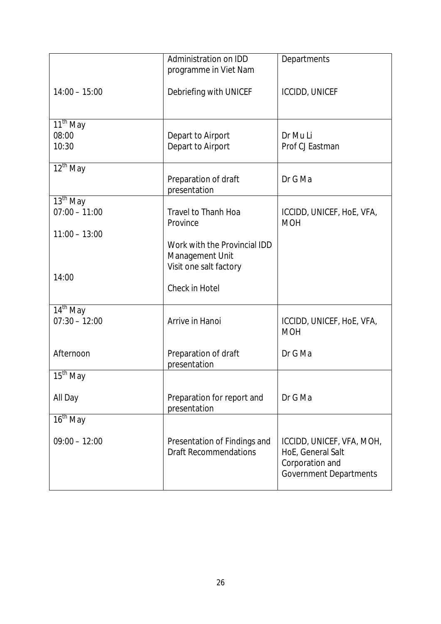|                      | Administration on IDD<br>programme in Viet Nam               | Departments                                                                                        |
|----------------------|--------------------------------------------------------------|----------------------------------------------------------------------------------------------------|
| $14:00 - 15:00$      | Debriefing with UNICEF                                       | <b>ICCIDD, UNICEF</b>                                                                              |
| 11 <sup>th</sup> May |                                                              |                                                                                                    |
| 08:00                | Depart to Airport                                            | Dr Mu Li                                                                                           |
| 10:30                | Depart to Airport                                            | Prof CJ Eastman                                                                                    |
| $12^{\text{th}}$ May |                                                              |                                                                                                    |
|                      | Preparation of draft<br>presentation                         | Dr G Ma                                                                                            |
| $13th$ May           |                                                              |                                                                                                    |
| $07:00 - 11:00$      | <b>Travel to Thanh Hoa</b>                                   | ICCIDD, UNICEF, HOE, VFA,                                                                          |
|                      | Province                                                     | <b>MOH</b>                                                                                         |
| $11:00 - 13:00$      | Work with the Provincial IDD                                 |                                                                                                    |
|                      | Management Unit                                              |                                                                                                    |
|                      | Visit one salt factory                                       |                                                                                                    |
| 14:00                |                                                              |                                                                                                    |
|                      | <b>Check in Hotel</b>                                        |                                                                                                    |
| $14th$ May           |                                                              |                                                                                                    |
| $07:30 - 12:00$      | Arrive in Hanoi                                              | ICCIDD, UNICEF, HOE, VFA,<br><b>MOH</b>                                                            |
| Afternoon            | Preparation of draft                                         | Dr G Ma                                                                                            |
|                      | presentation                                                 |                                                                                                    |
| 15 <sup>th</sup> May |                                                              |                                                                                                    |
| All Day              | Preparation for report and<br>presentation                   | Dr G Ma                                                                                            |
| $16th$ May           |                                                              |                                                                                                    |
| $09:00 - 12:00$      | Presentation of Findings and<br><b>Draft Recommendations</b> | ICCIDD, UNICEF, VFA, MOH,<br>HoE, General Salt<br>Corporation and<br><b>Government Departments</b> |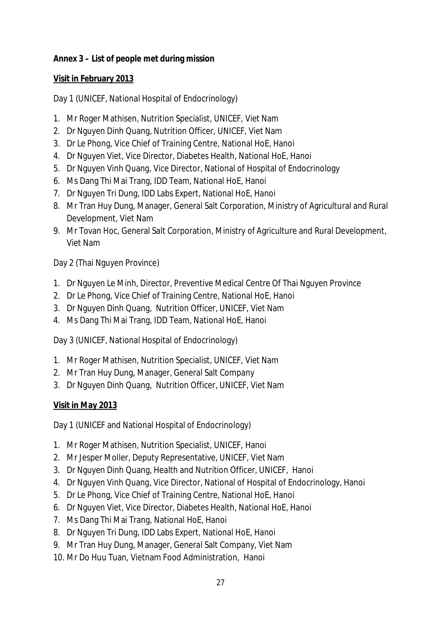## **Annex 3 – List of people met during mission**

### **Visit in February 2013**

Day 1 (UNICEF, National Hospital of Endocrinology)

- 1. Mr Roger Mathisen, Nutrition Specialist, UNICEF, Viet Nam
- 2. Dr Nguyen Dinh Quang, Nutrition Officer, UNICEF, Viet Nam
- 3. Dr Le Phong, Vice Chief of Training Centre, National HoE, Hanoi
- 4. Dr Nguyen Viet, Vice Director, Diabetes Health, National HoE, Hanoi
- 5. Dr Nguyen Vinh Quang, Vice Director, National of Hospital of Endocrinology
- 6. Ms Dang Thi Mai Trang, IDD Team, National HoE, Hanoi
- 7. Dr Nguyen Tri Dung, IDD Labs Expert, National HoE, Hanoi
- 8. Mr Tran Huy Dung, Manager, General Salt Corporation, Ministry of Agricultural and Rural Development, Viet Nam
- 9. Mr Tovan Hoc, General Salt Corporation, Ministry of Agriculture and Rural Development, Viet Nam

Day 2 (Thai Nguyen Province)

- 1. Dr Nguyen Le Minh, Director, Preventive Medical Centre Of Thai Nguyen Province
- 2. Dr Le Phong, Vice Chief of Training Centre, National HoE, Hanoi
- 3. Dr Nguyen Dinh Quang, Nutrition Officer, UNICEF, Viet Nam
- 4. Ms Dang Thi Mai Trang, IDD Team, National HoE, Hanoi

Day 3 (UNICEF, National Hospital of Endocrinology)

- 1. Mr Roger Mathisen, Nutrition Specialist, UNICEF, Viet Nam
- 2. Mr Tran Huy Dung, Manager, General Salt Company
- 3. Dr Nguyen Dinh Quang, Nutrition Officer, UNICEF, Viet Nam

# **Visit in May 2013**

Day 1 (UNICEF and National Hospital of Endocrinology)

- 1. Mr Roger Mathisen, Nutrition Specialist, UNICEF, Hanoi
- 2. Mr Jesper Moller, Deputy Representative, UNICEF, Viet Nam
- 3. Dr Nguyen Dinh Quang, Health and Nutrition Officer, UNICEF, Hanoi
- 4. Dr Nguyen Vinh Quang, Vice Director, National of Hospital of Endocrinology, Hanoi
- 5. Dr Le Phong, Vice Chief of Training Centre, National HoE, Hanoi
- 6. Dr Nguyen Viet, Vice Director, Diabetes Health, National HoE, Hanoi
- 7. Ms Dang Thi Mai Trang, National HoE, Hanoi
- 8. Dr Nguyen Tri Dung, IDD Labs Expert, National HoE, Hanoi
- 9. Mr Tran Huy Dung, Manager, General Salt Company, Viet Nam
- 10. Mr Do Huu Tuan, Vietnam Food Administration, Hanoi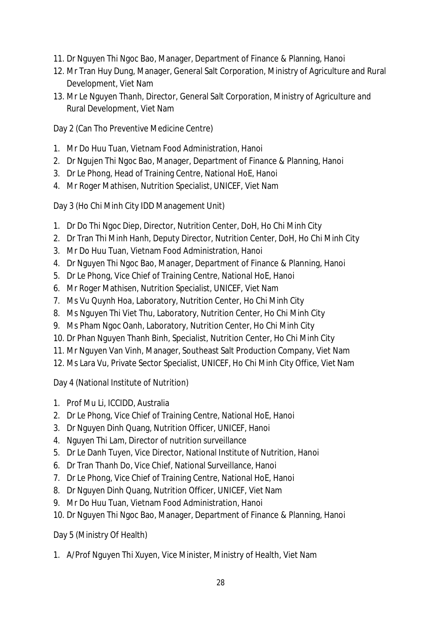- 11. Dr Nguyen Thi Ngoc Bao, Manager, Department of Finance & Planning, Hanoi
- 12. Mr Tran Huy Dung, Manager, General Salt Corporation, Ministry of Agriculture and Rural Development, Viet Nam
- 13. Mr Le Nguyen Thanh, Director, General Salt Corporation, Ministry of Agriculture and Rural Development, Viet Nam

Day 2 (Can Tho Preventive Medicine Centre)

- 1. Mr Do Huu Tuan, Vietnam Food Administration, Hanoi
- 2. Dr Ngujen Thi Ngoc Bao, Manager, Department of Finance & Planning, Hanoi
- 3. Dr Le Phong, Head of Training Centre, National HoE, Hanoi
- 4. Mr Roger Mathisen, Nutrition Specialist, UNICEF, Viet Nam

Day 3 (Ho Chi Minh City IDD Management Unit)

- 1. Dr Do Thi Ngoc Diep, Director, Nutrition Center, DoH, Ho Chi Minh City
- 2. Dr Tran Thi Minh Hanh, Deputy Director, Nutrition Center, DoH, Ho Chi Minh City
- 3. Mr Do Huu Tuan, Vietnam Food Administration, Hanoi
- 4. Dr Nguyen Thi Ngoc Bao, Manager, Department of Finance & Planning, Hanoi
- 5. Dr Le Phong, Vice Chief of Training Centre, National HoE, Hanoi
- 6. Mr Roger Mathisen, Nutrition Specialist, UNICEF, Viet Nam
- 7. Ms Vu Quynh Hoa, Laboratory, Nutrition Center, Ho Chi Minh City
- 8. Ms Nguyen Thi Viet Thu, Laboratory, Nutrition Center, Ho Chi Minh City
- 9. Ms Pham Ngoc Oanh, Laboratory, Nutrition Center, Ho Chi Minh City
- 10. Dr Phan Nguyen Thanh Binh, Specialist, Nutrition Center, Ho Chi Minh City
- 11. Mr Nguyen Van Vinh, Manager, Southeast Salt Production Company, Viet Nam
- 12. Ms Lara Vu, Private Sector Specialist, UNICEF, Ho Chi Minh City Office, Viet Nam

Day 4 (National Institute of Nutrition)

- 1. Prof Mu Li, ICCIDD, Australia
- 2. Dr Le Phong, Vice Chief of Training Centre, National HoE, Hanoi
- 3. Dr Nguyen Dinh Quang, Nutrition Officer, UNICEF, Hanoi
- 4. Nguyen Thi Lam, Director of nutrition surveillance
- 5. Dr Le Danh Tuyen, Vice Director, National Institute of Nutrition, Hanoi
- 6. Dr Tran Thanh Do, Vice Chief, National Surveillance, Hanoi
- 7. Dr Le Phong, Vice Chief of Training Centre, National HoE, Hanoi
- 8. Dr Nguyen Dinh Quang, Nutrition Officer, UNICEF, Viet Nam
- 9. Mr Do Huu Tuan, Vietnam Food Administration, Hanoi
- 10. Dr Nguyen Thi Ngoc Bao, Manager, Department of Finance & Planning, Hanoi

Day 5 (Ministry Of Health)

1. A/Prof Nguyen Thi Xuyen, Vice Minister, Ministry of Health, Viet Nam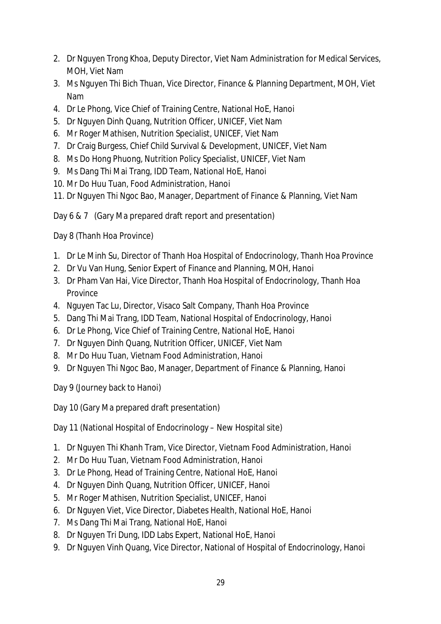- 2. Dr Nguyen Trong Khoa, Deputy Director, Viet Nam Administration for Medical Services, MOH, Viet Nam
- 3. Ms Nguyen Thi Bich Thuan, Vice Director, Finance & Planning Department, MOH, Viet Nam
- 4. Dr Le Phong, Vice Chief of Training Centre, National HoE, Hanoi
- 5. Dr Nguyen Dinh Quang, Nutrition Officer, UNICEF, Viet Nam
- 6. Mr Roger Mathisen, Nutrition Specialist, UNICEF, Viet Nam
- 7. Dr Craig Burgess, Chief Child Survival & Development, UNICEF, Viet Nam
- 8. Ms Do Hong Phuong, Nutrition Policy Specialist, UNICEF, Viet Nam
- 9. Ms Dang Thi Mai Trang, IDD Team, National HoE, Hanoi
- 10. Mr Do Huu Tuan, Food Administration, Hanoi
- 11. Dr Nguyen Thi Ngoc Bao, Manager, Department of Finance & Planning, Viet Nam

Day 6 & 7 (Gary Ma prepared draft report and presentation)

Day 8 (Thanh Hoa Province)

- 1. Dr Le Minh Su, Director of Thanh Hoa Hospital of Endocrinology, Thanh Hoa Province
- 2. Dr Vu Van Hung, Senior Expert of Finance and Planning, MOH, Hanoi
- 3. Dr Pham Van Hai, Vice Director, Thanh Hoa Hospital of Endocrinology, Thanh Hoa **Province**
- 4. Nguyen Tac Lu, Director, Visaco Salt Company, Thanh Hoa Province
- 5. Dang Thi Mai Trang, IDD Team, National Hospital of Endocrinology, Hanoi
- 6. Dr Le Phong, Vice Chief of Training Centre, National HoE, Hanoi
- 7. Dr Nguyen Dinh Quang, Nutrition Officer, UNICEF, Viet Nam
- 8. Mr Do Huu Tuan, Vietnam Food Administration, Hanoi
- 9. Dr Nguyen Thi Ngoc Bao, Manager, Department of Finance & Planning, Hanoi

Day 9 (Journey back to Hanoi)

Day 10 (Gary Ma prepared draft presentation)

Day 11 (National Hospital of Endocrinology – New Hospital site)

- 1. Dr Nguyen Thi Khanh Tram, Vice Director, Vietnam Food Administration, Hanoi
- 2. Mr Do Huu Tuan, Vietnam Food Administration, Hanoi
- 3. Dr Le Phong, Head of Training Centre, National HoE, Hanoi
- 4. Dr Nguyen Dinh Quang, Nutrition Officer, UNICEF, Hanoi
- 5. Mr Roger Mathisen, Nutrition Specialist, UNICEF, Hanoi
- 6. Dr Nguyen Viet, Vice Director, Diabetes Health, National HoE, Hanoi
- 7. Ms Dang Thi Mai Trang, National HoE, Hanoi
- 8. Dr Nguyen Tri Dung, IDD Labs Expert, National HoE, Hanoi
- 9. Dr Nguyen Vinh Quang, Vice Director, National of Hospital of Endocrinology, Hanoi